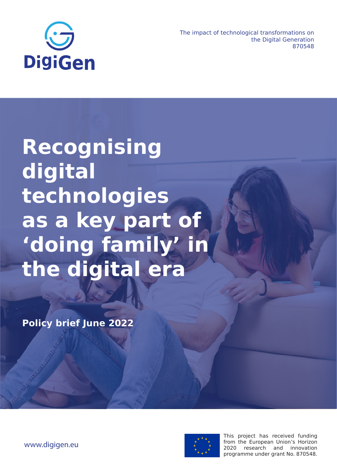

The impact of technological transformations on the Digital Generation 870548

# **Recognising digital technologies as a key part of 'doing family' in the digital era**

**Policy brief June 2022**



This project has received funding from the European Union's Horizon 2020 research and innovation programme under grant No. 870548.

www.digigen.eu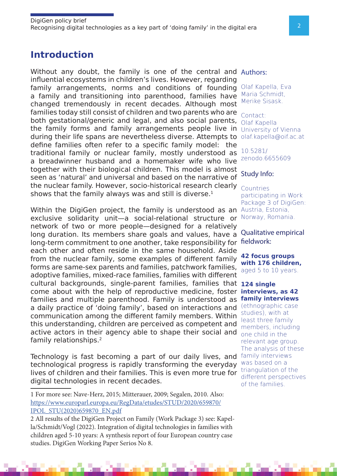# **Introduction**

Without any doubt, the family is one of the central and Authors: influential ecosystems in children's lives. However, regarding family arrangements, norms and conditions of founding a family and transitioning into parenthood, families have Maria Schmidt, changed tremendously in recent decades. Although most families today still consist of children and two parents who are both gestational/generic and legal, and also social parents,  $_{\text{Olaf Kapella}}$ the family forms and family arrangements people live in University of Vienna during their life spans are nevertheless diverse. Attempts to olaf.kapella@oif.ac.at define families often refer to a specific family model: the traditional family or nuclear family, mostly understood as a breadwinner husband and a homemaker wife who live together with their biological children. This model is almost seen as 'natural' and universal and based on the narrative of the nuclear family. However, socio-historical research clearly shows that the family always was and still is diverse. $1$ 

Within the DigiGen project, the family is understood as an Austria, Estonia, exclusive solidarity unit-a social-relational structure or Norway, Romania. network of two or more people—designed for a relatively long duration. Its members share goals and values, have a long-term commitment to one another, take responsibility for fieldwork: each other and often reside in the same household. Aside from the nuclear family, some examples of different family forms are same-sex parents and families, patchwork families, adoptive families, mixed-race families, families with different cultural backgrounds, single-parent families, families that **124 single**  come about with the help of reproductive medicine, foster **interviews, as 42**  families and multiple parenthood. Family is understood as **family interviews** a daily practice of 'doing family', based on interactions and communication among the different family members. Within this understanding, children are perceived as competent and active actors in their agency able to shape their social and family relationships.2

Technology is fast becoming a part of our daily lives, and family interviews technological progress is rapidly transforming the everyday lives of children and their families. This is even more true for digital technologies in recent decades.

Olaf Kapella, Eva Merike Sisask.

Contact:

10.5281/ zenodo.6655609

#### Study Info:

**Countries** participating in Work Package 3 of DigiGen:

Qualitative empirical

**42 focus groups with 176 children,** aged 5 to 10 years.

(ethnographic case studies), with at least three family members, including one child in the relevant age group. The analysis of these was based on a triangulation of the different perspectives of the families.

<sup>1</sup> For more see: Nave-Herz, 2015; Mitterauer, 2009; Segalen, 2010. Also: https://www.europarl.europa.eu/RegData/etudes/STUD/2020/659870/ IPOL\_STU(2020)659870\_EN.pdf

<sup>2</sup> All results of the DigiGen Project on Family (Work Package 3) see: Kapella/Schmidt/Vogl (2022). Integration of digital technologies in families with children aged 5-10 years: A synthesis report of four European country case studies. DigiGen Working Paper Serios No 8.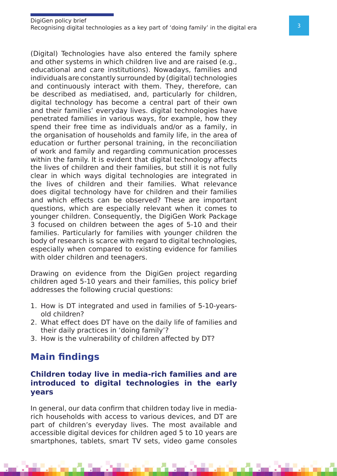(Digital) Technologies have also entered the family sphere and other systems in which children live and are raised (e.g., educational and care institutions). Nowadays, families and individuals are constantly surrounded by (digital) technologies and continuously interact with them. They, therefore, can be described as mediatised, and, particularly for children, digital technology has become a central part of their own and their families' everyday lives. digital technologies have penetrated families in various ways, for example, how they spend their free time as individuals and/or as a family, in the organisation of households and family life, in the area of education or further personal training, in the reconciliation of work and family and regarding communication processes within the family. It is evident that digital technology affects the lives of children and their families, but still it is not fully clear in which ways digital technologies are integrated in the lives of children and their families. What relevance does digital technology have for children and their families and which effects can be observed? These are important questions, which are especially relevant when it comes to younger children. Consequently, the DigiGen Work Package 3 focused on children between the ages of 5-10 and their families. Particularly for families with younger children the body of research is scarce with regard to digital technologies, especially when compared to existing evidence for families with older children and teenagers.

Drawing on evidence from the DigiGen project regarding children aged 5-10 years and their families, this policy brief addresses the following crucial questions:

- 1. How is DT integrated and used in families of 5-10-yearsold children?
- 2. What effect does DT have on the daily life of families and their daily practices in 'doing family'?
- 3. How is the vulnerability of children affected by DT?

# **Main findings**

### **Children today live in media-rich families and are introduced to digital technologies in the early years**

In general, our data confirm that children today live in mediarich households with access to various devices, and DT are part of children's everyday lives. The most available and accessible digital devices for children aged 5 to 10 years are smartphones, tablets, smart TV sets, video game consoles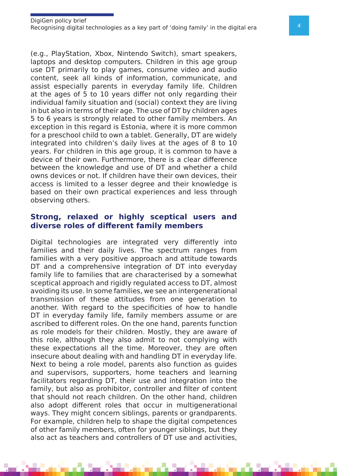(e.g., PlayStation, Xbox, Nintendo Switch), smart speakers, laptops and desktop computers. Children in this age group use DT primarily to play games, consume video and audio content, seek all kinds of information, communicate, and assist especially parents in everyday family life. Children at the ages of 5 to 10 years differ not only regarding their individual family situation and (social) context they are living in but also in terms of their age. The use of DT by children ages 5 to 6 years is strongly related to other family members. An exception in this regard is Estonia, where it is more common for a preschool child to own a tablet. Generally, DT are widely integrated into children's daily lives at the ages of 8 to 10 years. For children in this age group, it is common to have a device of their own. Furthermore, there is a clear difference between the knowledge and use of DT and whether a child owns devices or not. If children have their own devices, their access is limited to a lesser degree and their knowledge is based on their own practical experiences and less through observing others.

#### **Strong, relaxed or highly sceptical users and diverse roles of different family members**

Digital technologies are integrated very differently into families and their daily lives. The spectrum ranges from families with a very positive approach and attitude towards DT and a comprehensive integration of DT into everyday family life to families that are characterised by a somewhat sceptical approach and rigidly regulated access to DT, almost avoiding its use. In some families, we see an intergenerational transmission of these attitudes from one generation to another. With regard to the specificities of how to handle DT in everyday family life, family members assume or are ascribed to different roles. On the one hand, parents function as role models for their children. Mostly, they are aware of this role, although they also admit to not complying with these expectations all the time. Moreover, they are often insecure about dealing with and handling DT in everyday life. Next to being a role model, parents also function as guides and supervisors, supporters, home teachers and learning facilitators regarding DT, their use and integration into the family, but also as prohibitor, controller and filter of content that should not reach children. On the other hand, children also adopt different roles that occur in multigenerational ways. They might concern siblings, parents or grandparents. For example, children help to shape the digital competences of other family members, often for younger siblings, but they also act as teachers and controllers of DT use and activities,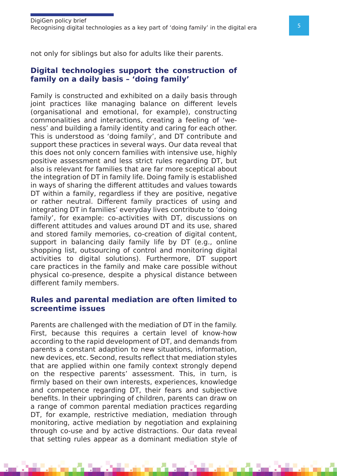not only for siblings but also for adults like their parents.

#### **Digital technologies support the construction of family on a daily basis – 'doing family'**

Family is constructed and exhibited on a daily basis through joint practices like managing balance on different levels (organisational and emotional, for example), constructing commonalities and interactions, creating a feeling of 'weness' and building a family identity and caring for each other. This is understood as 'doing family', and DT contribute and support these practices in several ways. Our data reveal that this does not only concern families with intensive use, highly positive assessment and less strict rules regarding DT, but also is relevant for families that are far more sceptical about the integration of DT in family life. Doing family is established in ways of sharing the different attitudes and values towards DT within a family, regardless if they are positive, negative or rather neutral. Different family practices of using and integrating DT in families' everyday lives contribute to 'doing family', for example: co-activities with DT, discussions on different attitudes and values around DT and its use, shared and stored family memories, co-creation of digital content, support in balancing daily family life by DT (e.g., online shopping list, outsourcing of control and monitoring digital activities to digital solutions). Furthermore, DT support care practices in the family and make care possible without physical co-presence, despite a physical distance between different family members.

#### **Rules and parental mediation are often limited to screentime issues**

Parents are challenged with the mediation of DT in the family. First, because this requires a certain level of know-how according to the rapid development of DT, and demands from parents a constant adaption to new situations, information, new devices, etc. Second, results reflect that mediation styles that are applied within one family context strongly depend on the respective parents' assessment. This, in turn, is firmly based on their own interests, experiences, knowledge and competence regarding DT, their fears and subjective benefits. In their upbringing of children, parents can draw on a range of common parental mediation practices regarding DT, for example, restrictive mediation, mediation through monitoring, active mediation by negotiation and explaining through co-use and by active distractions. Our data reveal that setting rules appear as a dominant mediation style of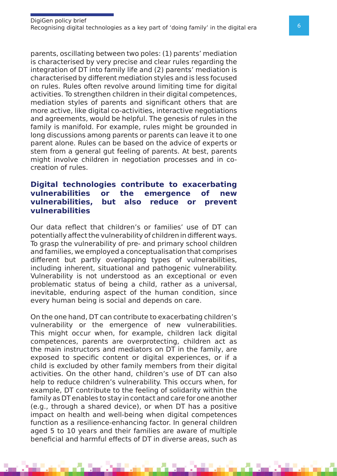parents, oscillating between two poles: (1) parents' mediation is characterised by very precise and clear rules regarding the integration of DT into family life and (2) parents' mediation is characterised by different mediation styles and is less focused on rules. Rules often revolve around limiting time for digital activities. To strengthen children in their digital competences, mediation styles of parents and significant others that are more active, like digital co-activities, interactive negotiations and agreements, would be helpful. The genesis of rules in the family is manifold. For example, rules might be grounded in long discussions among parents or parents can leave it to one parent alone. Rules can be based on the advice of experts or stem from a general gut feeling of parents. At best, parents might involve children in negotiation processes and in cocreation of rules.

### **Digital technologies contribute to exacerbating vulnerabilities or the emergence of new vulnerabilities, but also reduce or prevent vulnerabilities**

Our data reflect that children's or families' use of DT can potentially affect the vulnerability of children in different ways. To grasp the vulnerability of pre- and primary school children and families, we employed a conceptualisation that comprises different but partly overlapping types of vulnerabilities, including inherent, situational and pathogenic vulnerability. Vulnerability is not understood as an exceptional or even problematic status of being a child, rather as a universal, inevitable, enduring aspect of the human condition, since every human being is social and depends on care.

On the one hand, DT can contribute to exacerbating children's vulnerability or the emergence of new vulnerabilities. This might occur when, for example, children lack digital competences, parents are overprotecting, children act as the main instructors and mediators on DT in the family, are exposed to specific content or digital experiences, or if a child is excluded by other family members from their digital activities. On the other hand, children's use of DT can also help to reduce children's vulnerability. This occurs when, for example, DT contribute to the feeling of solidarity within the family as DT enables to stay in contact and care for one another (e.g., through a shared device), or when DT has a positive impact on health and well-being when digital competences function as a resilience-enhancing factor. In general children aged 5 to 10 years and their families are aware of multiple beneficial and harmful effects of DT in diverse areas, such as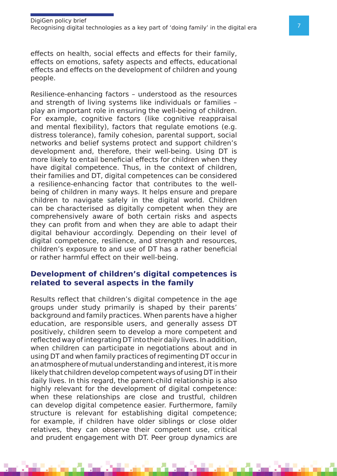effects on health, social effects and effects for their family, effects on emotions, safety aspects and effects, educational effects and effects on the development of children and young people.

Resilience-enhancing factors – understood as the resources and strength of living systems like individuals or families – play an important role in ensuring the well-being of children. For example, cognitive factors (like cognitive reappraisal and mental flexibility), factors that regulate emotions (e.g. distress tolerance), family cohesion, parental support, social networks and belief systems protect and support children's development and, therefore, their well-being. Using DT is more likely to entail beneficial effects for children when they have digital competence. Thus, in the context of children, their families and DT, digital competences can be considered a resilience-enhancing factor that contributes to the wellbeing of children in many ways. It helps ensure and prepare children to navigate safely in the digital world. Children can be characterised as digitally competent when they are comprehensively aware of both certain risks and aspects they can profit from and when they are able to adapt their digital behaviour accordingly. Depending on their level of digital competence, resilience, and strength and resources, children's exposure to and use of DT has a rather beneficial or rather harmful effect on their well-being.

#### **Development of children's digital competences is related to several aspects in the family**

Results reflect that children's digital competence in the age groups under study primarily is shaped by their parents' background and family practices. When parents have a higher education, are responsible users, and generally assess DT positively, children seem to develop a more competent and reflected way of integrating DT into their daily lives. In addition, when children can participate in negotiations about and in using DT and when family practices of regimenting DT occur in an atmosphere of mutual understanding and interest, it is more likely that children develop competent ways of using DT in their daily lives. In this regard, the parent-child relationship is also highly relevant for the development of digital competence: when these relationships are close and trustful, children can develop digital competence easier. Furthermore, family structure is relevant for establishing digital competence; for example, if children have older siblings or close older relatives, they can observe their competent use, critical and prudent engagement with DT. Peer group dynamics are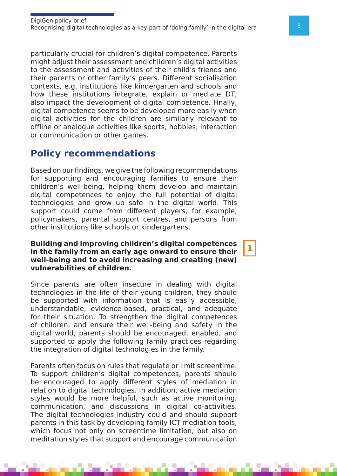particularly crucial for children's digital competence. Parents might adjust their assessment and children's digital activities to the assessment and activities of their child's friends and their parents or other family's peers. Different socialisation contexts, e.g. institutions like kindergarten and schools and how these institutions integrate, explain or mediate DT, also impact the development of digital competence. Finally, digital competence seems to be developed more easily when digital activities for the children are similarly relevant to offline or analogue activities like sports, hobbies, interaction or communication or other games.

## **Policy recommendations**

Based on our findings, we give the following recommendations for supporting and encouraging families to ensure their children's well-being, helping them develop and maintain digital competences to enjoy the full potential of digital technologies and grow up safe in the digital world. This support could come from different players, for example, policymakers, parental support centres, and persons from other institutions like schools or kindergartens.

#### **Building and improving children's digital competences in the family from an early age onward to ensure their well-being and to avoid increasing and creating (new) vulnerabilities of children.**

Since parents are often insecure in dealing with digital technologies in the life of their young children, they should be supported with information that is easily accessible, understandable, evidence-based, practical, and adequate for their situation. To strengthen the digital competences of children, and ensure their well-being and safety in the digital world, parents should be encouraged, enabled, and supported to apply the following family practices regarding the integration of digital technologies in the family.

Parents often focus on rules that regulate or limit screentime. To support children's digital competences, parents should be encouraged to apply different styles of mediation in relation to digital technologies. In addition, active mediation styles would be more helpful, such as active monitoring, communication, and discussions in digital co-activities. The digital technologies industry could and should support parents in this task by developing family ICT mediation tools, which focus not only on screentime limitation, but also on meditation styles that support and encourage communication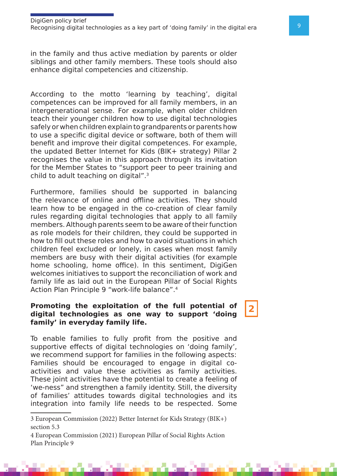in the family and thus active mediation by parents or older siblings and other family members. These tools should also enhance digital competencies and citizenship.

According to the motto 'learning by teaching', digital competences can be improved for all family members, in an intergenerational sense. For example, when older children teach their younger children how to use digital technologies safely or when children explain to grandparents or parents how to use a specific digital device or software, both of them will benefit and improve their digital competences. For example, the updated Better Internet for Kids (BIK+ strategy) Pillar 2 recognises the value in this approach through its invitation for the Member States to "support peer to peer training and child to adult teaching on digital".3

Furthermore, families should be supported in balancing the relevance of online and offline activities. They should learn how to be engaged in the co-creation of clear family rules regarding digital technologies that apply to all family members. Although parents seem to be aware of their function as role models for their children, they could be supported in how to fill out these roles and how to avoid situations in which children feel excluded or lonely, in cases when most family members are busy with their digital activities (for example home schooling, home office). In this sentiment, DigiGen welcomes initiatives to support the reconciliation of work and family life as laid out in the European Pillar of Social Rights Action Plan Principle 9 "work-life balance".<sup>4</sup>

#### **Promoting the exploitation of the full potential of digital technologies as one way to support 'doing family' in everyday family life.**

To enable families to fully profit from the positive and supportive effects of digital technologies on 'doing family', we recommend support for families in the following aspects: Families should be encouraged to engage in digital coactivities and value these activities as family activities. These joint activities have the potential to create a feeling of 'we-ness" and strengthen a family identity. Still, the diversity of families' attitudes towards digital technologies and its integration into family life needs to be respected. Some

<sup>3</sup> European Commission (2022) Better Internet for Kids Strategy (BIK+) section 5.3

<sup>4</sup> European Commission (2021) European Pillar of Social Rights Action Plan Principle 9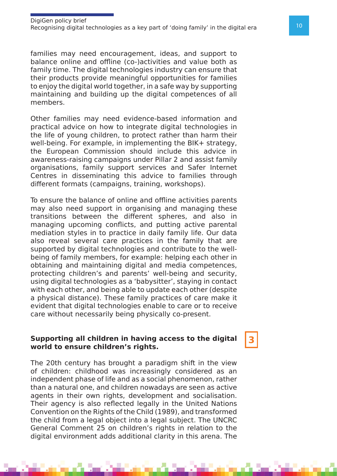families may need encouragement, ideas, and support to balance online and offline (co-)activities and value both as family time. The digital technologies industry can ensure that their products provide meaningful opportunities for families to enjoy the digital world together, in a safe way by supporting maintaining and building up the digital competences of all members.

Other families may need evidence-based information and practical advice on how to integrate digital technologies in the life of young children, to protect rather than harm their well-being. For example, in implementing the BIK+ strategy, the European Commission should include this advice in awareness-raising campaigns under Pillar 2 and assist family organisations, family support services and Safer Internet Centres in disseminating this advice to families through different formats (campaigns, training, workshops).

To ensure the balance of online and offline activities parents may also need support in organising and managing these transitions between the different spheres, and also in managing upcoming conflicts, and putting active parental mediation styles in to practice in daily family life. Our data also reveal several care practices in the family that are supported by digital technologies and contribute to the wellbeing of family members, for example: helping each other in obtaining and maintaining digital and media competences, protecting children's and parents' well-being and security, using digital technologies as a 'babysitter', staying in contact with each other, and being able to update each other (despite a physical distance). These family practices of care make it evident that digital technologies enable to care or to receive care without necessarily being physically co-present.

#### **Supporting all children in having access to the digital world to ensure children's rights.**

The 20th century has brought a paradigm shift in the view of children: childhood was increasingly considered as an independent phase of life and as a social phenomenon, rather than a natural one, and children nowadays are seen as active agents in their own rights, development and socialisation. Their agency is also reflected legally in the United Nations Convention on the Rights of the Child (1989), and transformed the child from a legal object into a legal subject. The UNCRC General Comment 25 on children's rights in relation to the digital environment adds additional clarity in this arena. The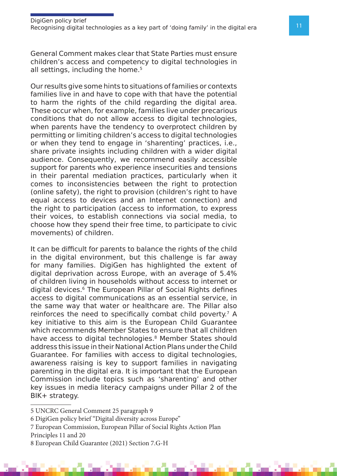General Comment makes clear that State Parties must ensure children's access and competency to digital technologies in all settings, including the home.<sup>5</sup>

Our results give some hints to situations of families or contexts families live in and have to cope with that have the potential to harm the rights of the child regarding the digital area. These occur when, for example, families live under precarious conditions that do not allow access to digital technologies, when parents have the tendency to overprotect children by permitting or limiting children's access to digital technologies or when they tend to engage in 'sharenting' practices, i.e., share private insights including children with a wider digital audience. Consequently, we recommend easily accessible support for parents who experience insecurities and tensions in their parental mediation practices, particularly when it comes to inconsistencies between the right to protection (online safety), the right to provision (children's right to have equal access to devices and an Internet connection) and the right to participation (access to information, to express their voices, to establish connections via social media, to choose how they spend their free time, to participate to civic movements) of children.

It can be difficult for parents to balance the rights of the child in the digital environment, but this challenge is far away for many families. DigiGen has highlighted the extent of digital deprivation across Europe, with an average of 5.4% of children living in households without access to internet or digital devices.6 The European Pillar of Social Rights defines access to digital communications as an essential service, in the same way that water or healthcare are. The Pillar also reinforces the need to specifically combat child poverty.<sup>7</sup> A key initiative to this aim is the European Child Guarantee which recommends Member States to ensure that all children have access to digital technologies.<sup>8</sup> Member States should address this issue in their National Action Plans under the Child Guarantee. For families with access to digital technologies, awareness raising is key to support families in navigating parenting in the digital era. It is important that the European Commission include topics such as 'sharenting' and other key issues in media literacy campaigns under Pillar 2 of the BIK+ strategy.

5 UNCRC General Comment 25 paragraph 9

- 6 DigiGen policy brief "Digital diversity across Europe"
- 7 European Commission, European Pillar of Social Rights Action Plan
- Principles 11 and 20

<sup>8</sup> European Child Guarantee (2021) Section 7.G-H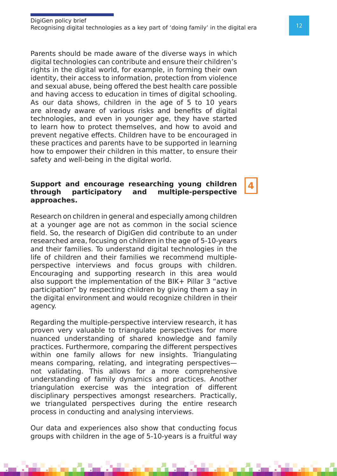Parents should be made aware of the diverse ways in which digital technologies can contribute and ensure their children's rights in the digital world, for example, in forming their own identity, their access to information, protection from violence and sexual abuse, being offered the best health care possible and having access to education in times of digital schooling. As our data shows, children in the age of 5 to 10 years are already aware of various risks and benefits of digital technologies, and even in younger age, they have started to learn how to protect themselves, and how to avoid and prevent negative effects. Children have to be encouraged in these practices and parents have to be supported in learning how to empower their children in this matter, to ensure their safety and well-being in the digital world.

#### **Support and encourage researching young children through participatory and multiple-perspective approaches.**

Research on children in general and especially among children at a younger age are not as common in the social science field. So, the research of DigiGen did contribute to an under researched area, focusing on children in the age of 5-10-years and their families. To understand digital technologies in the life of children and their families we recommend multipleperspective interviews and focus groups with children. Encouraging and supporting research in this area would also support the implementation of the BIK+ Pillar 3 "active participation" by respecting children by giving them a say in the digital environment and would recognize children in their agency.

Regarding the multiple-perspective interview research, it has proven very valuable to triangulate perspectives for more nuanced understanding of shared knowledge and family practices. Furthermore, comparing the different perspectives within one family allows for new insights. Triangulating means comparing, relating, and integrating perspectives not validating. This allows for a more comprehensive understanding of family dynamics and practices. Another triangulation exercise was the integration of different disciplinary perspectives amongst researchers. Practically, we triangulated perspectives during the entire research process in conducting and analysing interviews.

Our data and experiences also show that conducting focus groups with children in the age of 5-10-years is a fruitful way